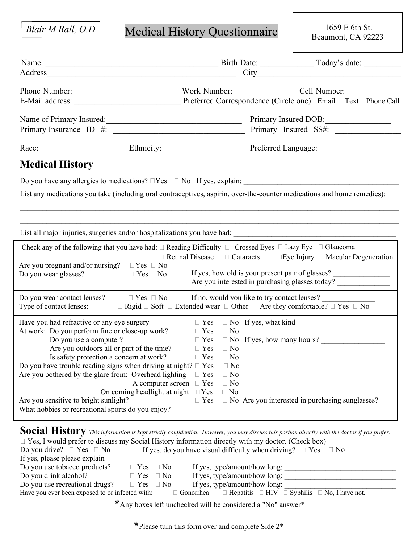| Blair M Ball, $O.D.$ | <b>Medical History Questionnaire</b> | 1659 E 6th St.          |
|----------------------|--------------------------------------|-------------------------|
|                      |                                      | Dogument $C\Lambda$ 022 |

Beaumont, CA 92223

| Address City City                                                                                                                               |                                         |           |                                                                          |                                                                                       |
|-------------------------------------------------------------------------------------------------------------------------------------------------|-----------------------------------------|-----------|--------------------------------------------------------------------------|---------------------------------------------------------------------------------------|
|                                                                                                                                                 |                                         |           |                                                                          |                                                                                       |
|                                                                                                                                                 |                                         |           |                                                                          |                                                                                       |
|                                                                                                                                                 |                                         |           |                                                                          |                                                                                       |
| Name of Primary Insured:                                                                                                                        |                                         |           |                                                                          | Primary Insured DOB:                                                                  |
|                                                                                                                                                 |                                         |           |                                                                          | Primary Insured SS#:                                                                  |
|                                                                                                                                                 |                                         |           |                                                                          |                                                                                       |
| Race: Ethnicity: Ethnicity: Preferred Language:                                                                                                 |                                         |           |                                                                          |                                                                                       |
| <b>Medical History</b>                                                                                                                          |                                         |           |                                                                          |                                                                                       |
|                                                                                                                                                 |                                         |           |                                                                          |                                                                                       |
| List any medications you take (including oral contraceptives, aspirin, over-the-counter medications and home remedies):                         |                                         |           |                                                                          |                                                                                       |
|                                                                                                                                                 |                                         |           |                                                                          |                                                                                       |
|                                                                                                                                                 |                                         |           |                                                                          |                                                                                       |
|                                                                                                                                                 |                                         |           |                                                                          |                                                                                       |
|                                                                                                                                                 |                                         |           |                                                                          |                                                                                       |
| Check any of the following that you have had: $\Box$ Reading Difficulty $\Box$ Crossed Eyes $\Box$ Lazy Eye $\Box$ Glaucoma                     |                                         |           |                                                                          |                                                                                       |
|                                                                                                                                                 |                                         |           |                                                                          | $\Box$ Retinal Disease $\Box$ Cataracts $\Box$ Eye Injury $\Box$ Macular Degeneration |
| Are you pregnant and/or nursing? $\square$ Yes $\square$ No                                                                                     |                                         |           |                                                                          |                                                                                       |
| $\Box$ Yes $\Box$ No<br>Do you wear glasses?                                                                                                    |                                         |           |                                                                          | If yes, how old is your present pair of glasses?                                      |
|                                                                                                                                                 |                                         |           |                                                                          | Are you interested in purchasing glasses today?                                       |
|                                                                                                                                                 |                                         |           |                                                                          |                                                                                       |
| Do you wear contact lenses? $\square$ Yes $\square$ No If no, would you like to try contact lenses?                                             |                                         |           |                                                                          |                                                                                       |
| Type of contact lenses: $\square$ Rigid $\square$ Soft $\square$ Extended wear $\square$ Other Are they comfortable? $\square$ Yes $\square$ No |                                         |           |                                                                          |                                                                                       |
| Have you had refractive or any eye surgery                                                                                                      |                                         |           |                                                                          |                                                                                       |
| At work: Do you perform fine or close-up work?                                                                                                  | $\Box$ Yes                              | $\Box$ No |                                                                          |                                                                                       |
| Do you use a computer?                                                                                                                          | $\Box$ Yes                              |           |                                                                          |                                                                                       |
| Are you outdoors all or part of the time?                                                                                                       | $\Box$ Yes                              | $\Box$ No |                                                                          |                                                                                       |
| Is safety protection a concern at work?                                                                                                         | $\Box$ Yes                              | $\Box$ No |                                                                          |                                                                                       |
| Do you have trouble reading signs when driving at night? $\Box$ Yes                                                                             |                                         | $\Box$ No |                                                                          |                                                                                       |
| Are you bothered by the glare from: Overhead lighting                                                                                           | $\Box$ Yes                              | $\Box$ No |                                                                          |                                                                                       |
|                                                                                                                                                 | A computer screen $\Box$ Yes            | $\Box$ No |                                                                          |                                                                                       |
|                                                                                                                                                 | On coming headlight at night $\Box$ Yes | $\Box$ No |                                                                          |                                                                                       |
| Are you sensitive to bright sunlight?                                                                                                           | $\Box$ Yes                              |           |                                                                          | $\Box$ No Are you interested in purchasing sunglasses?                                |
|                                                                                                                                                 |                                         |           |                                                                          |                                                                                       |
|                                                                                                                                                 |                                         |           |                                                                          |                                                                                       |
| Social History This information is kept strictly confidential. However, you may discuss this portion directly with the doctor if you prefer.    |                                         |           |                                                                          |                                                                                       |
| $\Box$ Yes, I would prefer to discuss my Social History information directly with my doctor. (Check box)                                        |                                         |           |                                                                          |                                                                                       |
| Do you drive? $\Box$ Yes $\Box$ No                                                                                                              |                                         |           | If yes, do you have visual difficulty when driving? $\Box$ Yes $\Box$ No |                                                                                       |
| If yes, please please explain                                                                                                                   |                                         |           |                                                                          |                                                                                       |
| Do you use tobacco products?                                                                                                                    | $\Box$ Yes $\Box$ No                    |           |                                                                          | If yes, type/amount/how long:                                                         |
| Do you drink alcohol?                                                                                                                           | $\Box$ Yes $\Box$ No                    |           |                                                                          |                                                                                       |
| Do you use recreational drugs?                                                                                                                  | $\Box$ Yes $\Box$ No                    |           |                                                                          | If yes, type/amount/how long:                                                         |
| Have you ever been exposed to or infected with:                                                                                                 | $\Box$ Gonorrhea                        |           | $\Box$ Hepatitis $\Box$ HIV $\Box$ Syphilis $\Box$ No, I have not.       |                                                                                       |

**\***Any boxes left unchecked will be considered a "No" answer\*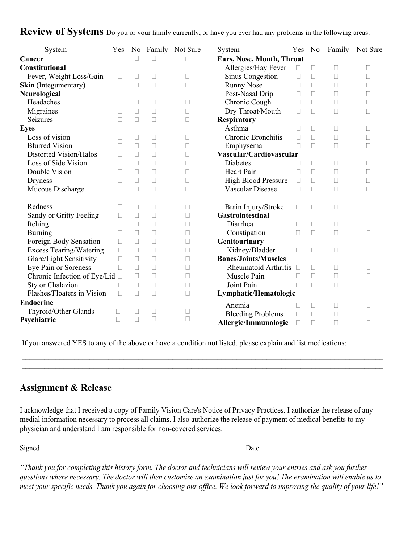**Review of Systems** Do you or your family currently, or have you ever had any problems in the following areas:

| System                                 | Yes    |        | No Family    | Not Sure     | System                      | Yes    | N <sub>o</sub> | Family | Not Sure     |
|----------------------------------------|--------|--------|--------------|--------------|-----------------------------|--------|----------------|--------|--------------|
| Cancer                                 | П      |        |              |              | Ears, Nose, Mouth, Throat   |        |                |        |              |
| <b>Constitutional</b>                  |        |        |              |              | Allergies/Hay Fever         | П      | □              | □      | $\mathbf{L}$ |
| Fever, Weight Loss/Gain                | □      | □      |              | □            | Sinus Congestion            | $\Box$ | $\Box$         | П      |              |
| Skin (Integumentary)                   | $\Box$ | $\Box$ | П            | П            | <b>Runny Nose</b>           | □      | $\Box$         | $\Box$ | П            |
| Neurological                           |        |        |              |              | Post-Nasal Drip             | Ц      | $\Box$         | □      | $\Box$       |
| Headaches                              |        | $\Box$ | П            | □            | Chronic Cough               | П      | $\Box$         | $\Box$ | П            |
| Migraines                              | П      | П      | П            | П            | Dry Throat/Mouth            | П      | $\Box$         | П      | П            |
| Seizures                               | П      | $\Box$ | $\Box$       | П            | <b>Respiratory</b>          |        |                |        |              |
| <b>Eyes</b>                            |        |        |              |              | Asthma                      | Ш      | □              | П      | $\Box$       |
| Loss of vision                         |        | □      | $\mathbf{L}$ | Ш            | Chronic Bronchitis          |        | $\Box$         | П      | П            |
| <b>Blurred Vision</b>                  | П      | $\Box$ | □            | □            | Emphysema                   | П      | $\Box$         | $\Box$ | П            |
| Distorted Vision/Halos                 | П      | $\Box$ | П            | П            | Vascular/Cardiovascular     |        |                |        |              |
| Loss of Side Vision                    | П      | $\Box$ |              |              | Diabetes                    |        | □              |        |              |
| Double Vision                          | П      | $\Box$ | □            | □            | Heart Pain                  | $\Box$ | $\Box$         | $\Box$ | □            |
| <b>Dryness</b>                         | Ш      | □      | П            | $\Box$       | <b>High Blood Pressure</b>  | □      | $\Box$         | $\Box$ | $\Box$       |
| Mucous Discharge                       | П      | $\Box$ | $\Box$       | П            | Vascular Disease            | $\Box$ | $\Box$         | $\Box$ | П            |
| Redness                                | Ш      | $\Box$ | Ш            | Ш            | Brain Injury/Stroke         | $\Box$ | □              | П      | Ω            |
| Sandy or Gritty Feeling                | □      | $\Box$ | Π            | $\Box$       | <b>Gastrointestinal</b>     |        |                |        |              |
| Itching                                | П      | $\Box$ | П            | Н            | Diarrhea                    |        | □              | П      | L            |
| Burning                                | $\Box$ | $\Box$ | $\Box$       | □            | Constipation                | $\Box$ | $\Box$         | $\Box$ | Ω            |
| Foreign Body Sensation                 | $\Box$ | $\Box$ | □            | $\mathbf{L}$ | Genitourinary               |        |                |        |              |
| <b>Excess Tearing/Watering</b>         | $\Box$ | $\Box$ |              | П            | Kidney/Bladder              |        | П              | П      | П            |
| Glare/Light Sensitivity                | $\Box$ | $\Box$ | П            | П            | <b>Bones/Joints/Muscles</b> |        |                |        |              |
| Eye Pain or Soreness                   | $\Box$ | П      | $\mathbf{L}$ | $\mathbf{L}$ | Rheumatoid Arthritis        | $\Box$ | $\Box$         | П      | Ш            |
| Chronic Infection of Eye/Lid $\square$ |        | $\Box$ | $\Box$       | $\Box$       | Muscle Pain                 |        | $\Box$         | $\Box$ | Ω            |
| Sty or Chalazion                       | $\Box$ | $\Box$ | $\Box$       | $\Box$       | Joint Pain                  | $\Box$ | □              | $\Box$ | Ω            |
| Flashes/Floaters in Vision             | $\Box$ | $\Box$ | П            | П            | Lymphatic/Hematologic       |        |                |        |              |
| <b>Endocrine</b>                       |        |        |              |              | Anemia                      |        | $\Box$         | П      |              |
| Thyroid/Other Glands                   | $\Box$ | $\Box$ | $\Box$       | $\Box$       | <b>Bleeding Problems</b>    |        | $\Box$         | Π      |              |
| Psychiatric                            | П      | $\Box$ | Π            | $\Box$       | Allergic/Immunologic        | П      | П              | П      | П            |

If you answered YES to any of the above or have a condition not listed, please explain and list medications:

# **Assignment & Release**

I acknowledge that I received a copy of Family Vision Care's Notice of Privacy Practices. I authorize the release of any medial information necessary to process all claims. I also authorize the release of payment of medical benefits to my physician and understand I am responsible for non-covered services.

 $\_$ \_\_\_\_\_\_\_\_\_\_\_\_\_\_\_\_\_\_\_\_\_\_\_\_\_\_\_\_\_\_\_\_\_\_\_\_\_\_\_\_\_\_\_\_\_\_\_\_\_\_\_\_\_\_\_\_\_\_\_\_\_\_\_\_\_\_\_\_\_\_\_\_\_\_\_\_\_\_\_\_\_\_\_\_\_\_\_\_\_\_\_\_\_\_\_\_

Signed Date Date  $\Box$ 

*"Thank you for completing this history form. The doctor and technicians will review your entries and ask you further questions where necessary. The doctor will then customize an examination just for you! The examination will enable us to meet your specific needs. Thank you again for choosing our office. We look forward to improving the quality of your life!"*